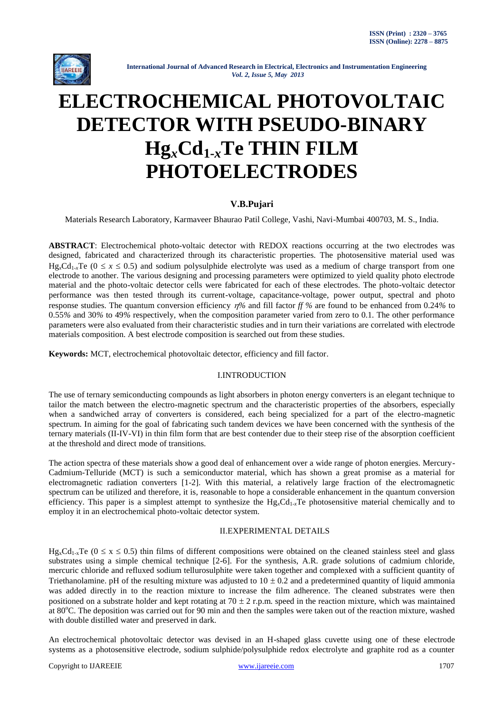

# **ELECTROCHEMICAL PHOTOVOLTAIC DETECTOR WITH PSEUDO-BINARY Hg***x***Cd1-***x***Te THIN FILM PHOTOELECTRODES**

# **V.B.Pujari**

Materials Research Laboratory, Karmaveer Bhaurao Patil College, Vashi, Navi-Mumbai 400703, M. S., India.

**ABSTRACT**: Electrochemical photo-voltaic detector with REDOX reactions occurring at the two electrodes was designed, fabricated and characterized through its characteristic properties. The photosensitive material used was Hg<sub>x</sub>Cd<sub>1</sub>  $\chi$ Te (0  $\leq x \leq 0.5$ ) and sodium polysulphide electrolyte was used as a medium of charge transport from one electrode to another. The various designing and processing parameters were optimized to yield quality photo electrode material and the photo-voltaic detector cells were fabricated for each of these electrodes. The photo-voltaic detector performance was then tested through its current-voltage, capacitance-voltage, power output, spectral and photo response studies. The quantum conversion efficiency  $\eta$ % and fill factor  $f\$  % are found to be enhanced from 0.24% to 0.55*%* and 30*%* to 49*%* respectively, when the composition parameter varied from zero to 0.1. The other performance parameters were also evaluated from their characteristic studies and in turn their variations are correlated with electrode materials composition. A best electrode composition is searched out from these studies.

**Keywords:** MCT, electrochemical photovoltaic detector, efficiency and fill factor.

# I.INTRODUCTION

The use of ternary semiconducting compounds as light absorbers in photon energy converters is an elegant technique to tailor the match between the electro-magnetic spectrum and the characteristic properties of the absorbers, especially when a sandwiched array of converters is considered, each being specialized for a part of the electro-magnetic spectrum. In aiming for the goal of fabricating such tandem devices we have been concerned with the synthesis of the ternary materials (II-IV-VI) in thin film form that are best contender due to their steep rise of the absorption coefficient at the threshold and direct mode of transitions.

The action spectra of these materials show a good deal of enhancement over a wide range of photon energies. Mercury-Cadmium-Telluride (MCT) is such a semiconductor material, which has shown a great promise as a material for electromagnetic radiation converters [1-2]. With this material, a relatively large fraction of the electromagnetic spectrum can be utilized and therefore, it is, reasonable to hope a considerable enhancement in the quantum conversion efficiency. This paper is a simplest attempt to synthesize the  $Hg_xCd_{1-x}Te$  photosensitive material chemically and to employ it in an electrochemical photo-voltaic detector system.

# II.EXPERIMENTAL DETAILS

 $Hg_xCd_{1,x}Te$  ( $0 \le x \le 0.5$ ) thin films of different compositions were obtained on the cleaned stainless steel and glass substrates using a simple chemical technique [2-6]. For the synthesis, A.R. grade solutions of cadmium chloride, mercuric chloride and refluxed sodium tellurosulphite were taken together and complexed with a sufficient quantity of Triethanolamine. pH of the resulting mixture was adjusted to  $10 \pm 0.2$  and a predetermined quantity of liquid ammonia was added directly in to the reaction mixture to increase the film adherence. The cleaned substrates were then positioned on a substrate holder and kept rotating at  $70 \pm 2$  r.p.m. speed in the reaction mixture, which was maintained at 80°C. The deposition was carried out for 90 min and then the samples were taken out of the reaction mixture, washed with double distilled water and preserved in dark.

An electrochemical photovoltaic detector was devised in an H-shaped glass cuvette using one of these electrode systems as a photosensitive electrode, sodium sulphide/polysulphide redox electrolyte and graphite rod as a counter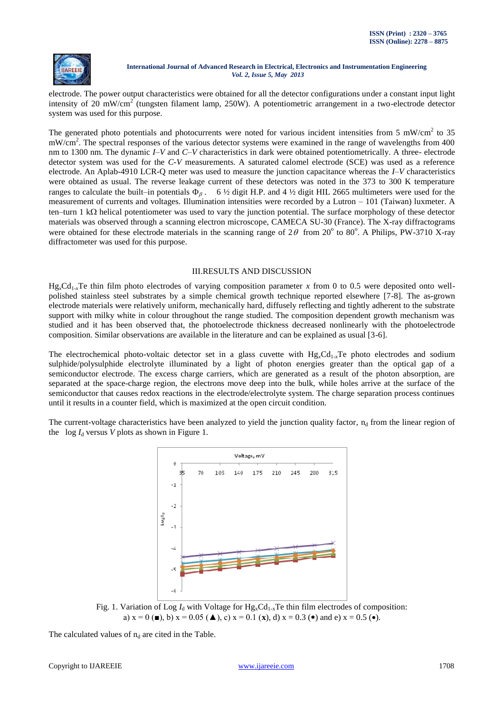

electrode. The power output characteristics were obtained for all the detector configurations under a constant input light intensity of 20 mW/cm<sup>2</sup> (tungsten filament lamp, 250W). A potentiometric arrangement in a two-electrode detector system was used for this purpose.

The generated photo potentials and photocurrents were noted for various incident intensities from 5 mW/cm<sup>2</sup> to 35 mW/cm<sup>2</sup>. The spectral responses of the various detector systems were examined in the range of wavelengths from 400 nm to 1300 nm. The dynamic *I–V* and *C–V* characteristics in dark were obtained potentiometrically. A three- electrode detector system was used for the *C-V* measurements. A saturated calomel electrode (SCE) was used as a reference electrode. An Aplab-4910 LCR-Q meter was used to measure the junction capacitance whereas the *I–V* characteristics were obtained as usual. The reverse leakage current of these detectors was noted in the 373 to 300 K temperature ranges to calculate the built–in potentials  $\Phi_{\alpha}$ . 6 ½ digit H.P. and 4 ½ digit HIL 2665 multimeters were used for the measurement of currents and voltages. Illumination intensities were recorded by a Lutron – 101 (Taiwan) luxmeter. A ten–turn 1 k $\Omega$  helical potentiometer was used to vary the junction potential. The surface morphology of these detector materials was observed through a scanning electron microscope, CAMECA SU-30 (France). The X-ray diffractograms were obtained for these electrode materials in the scanning range of  $2\theta$  from  $20^{\circ}$  to  $80^{\circ}$ . A Philips, PW-3710 X-ray diffractometer was used for this purpose.

# III.RESULTS AND DISCUSSION

 $Hg<sub>x</sub>Cd<sub>1-x</sub>Te$  thin film photo electrodes of varying composition parameter x from 0 to 0.5 were deposited onto wellpolished stainless steel substrates by a simple chemical growth technique reported elsewhere [7-8]. The as-grown electrode materials were relatively uniform, mechanically hard, diffusely reflecting and tightly adherent to the substrate support with milky white in colour throughout the range studied. The composition dependent growth mechanism was studied and it has been observed that, the photoelectrode thickness decreased nonlinearly with the photoelectrode composition. Similar observations are available in the literature and can be explained as usual [3-6].

The electrochemical photo-voltaic detector set in a glass cuvette with  $Hg_xCd_{1-x}Te$  photo electrodes and sodium sulphide/polysulphide electrolyte illuminated by a light of photon energies greater than the optical gap of a semiconductor electrode. The excess charge carriers, which are generated as a result of the photon absorption, are separated at the space-charge region, the electrons move deep into the bulk, while holes arrive at the surface of the semiconductor that causes redox reactions in the electrode/electrolyte system. The charge separation process continues until it results in a counter field, which is maximized at the open circuit condition.

The current-voltage characteristics have been analyzed to yield the junction quality factor,  $n_d$  from the linear region of the  $\log I_d$  versus *V* plots as shown in Figure 1.



Fig. 1. Variation of Log  $I_d$  with Voltage for  $Hg_xCd_{1-x}Te$  thin film electrodes of composition: a)  $x = 0$  ( $\blacksquare$ ), b)  $x = 0.05$  ( $\blacktriangle$ ), c)  $x = 0.1$  ( $\mathbf{x}$ ), d)  $x = 0.3$  ( $\blacktriangle$ ) and e)  $x = 0.5$  ( $\blacktriangle$ ).

The calculated values of  $n_d$  are cited in the Table.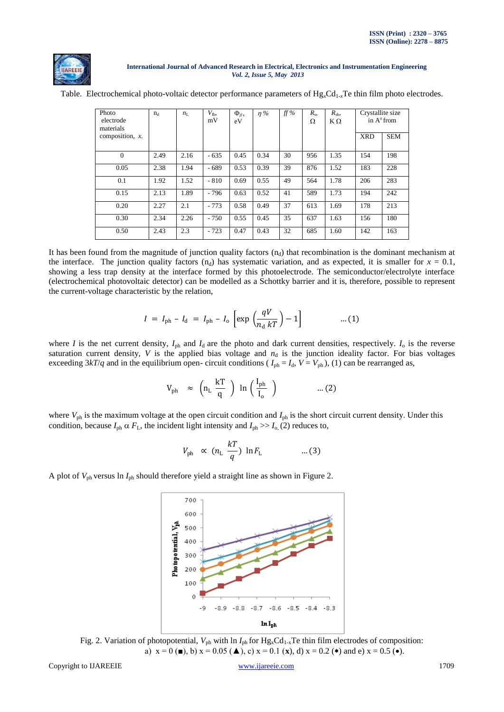

|  | Table. Electrochemical photo-voltaic detector performance parameters of $Hg_xCd_{1-x}Te$ thin film photo electrodes. |  |  |  |  |  |  |  |  |
|--|----------------------------------------------------------------------------------------------------------------------|--|--|--|--|--|--|--|--|
|--|----------------------------------------------------------------------------------------------------------------------|--|--|--|--|--|--|--|--|

| Photo<br>electrode<br>materials | $n_d$ | $n_{\rm L}$ | $V_{\text{fb}}$<br>mV | $\Phi_{\beta}$ ,<br>eV | $\eta\%$ | ff% | $R_{s}$<br>Ω | $R_{\rm sh}$<br>$K\Omega$ | Crystallite size<br>in A <sup>°</sup> from |            |
|---------------------------------|-------|-------------|-----------------------|------------------------|----------|-----|--------------|---------------------------|--------------------------------------------|------------|
| composition, $x$ .              |       |             |                       |                        |          |     |              |                           | <b>XRD</b>                                 | <b>SEM</b> |
| $\mathbf{0}$                    | 2.49  | 2.16        | $-635$                | 0.45                   | 0.34     | 30  | 956          | 1.35                      | 154                                        | 198        |
| 0.05                            | 2.38  | 1.94        | $-689$                | 0.53                   | 0.39     | 39  | 876          | 1.52                      | 183                                        | 228        |
| 0.1                             | 1.92  | 1.52        | $-810$                | 0.69                   | 0.55     | 49  | 564          | 1.78                      | 206                                        | 283        |
| 0.15                            | 2.13  | 1.89        | $-796$                | 0.63                   | 0.52     | 41  | 589          | 1.73                      | 194                                        | 242        |
| 0.20                            | 2.27  | 2.1         | $-773$                | 0.58                   | 0.49     | 37  | 613          | 1.69                      | 178                                        | 213        |
| 0.30                            | 2.34  | 2.26        | $-750$                | 0.55                   | 0.45     | 35  | 637          | 1.63                      | 156                                        | 180        |
| 0.50                            | 2.43  | 2.3         | $-723$                | 0.47                   | 0.43     | 32  | 685          | 1.60                      | 142                                        | 163        |

It has been found from the magnitude of junction quality factors  $(n_d)$  that recombination is the dominant mechanism at the interface. The junction quality factors  $(n_d)$  has systematic variation, and as expected, it is smaller for  $x = 0.1$ , showing a less trap density at the interface formed by this photoelectrode. The semiconductor/electrolyte interface (electrochemical photovoltaic detector) can be modelled as a Schottky barrier and it is, therefore, possible to represent the current-voltage characteristic by the relation,

$$
I = I_{\text{ph}} - I_{\text{d}} = I_{\text{ph}} - I_{\text{o}} \left[ \exp \left( \frac{qV}{n_{\text{d}} kT} \right) - 1 \right] \tag{1}
$$

where *I* is the net current density,  $I_{ph}$  and  $I_d$  are the photo and dark current densities, respectively.  $I_0$  is the reverse saturation current density,  $V$  is the applied bias voltage and  $n_d$  is the junction ideality factor. For bias voltages exceeding  $3kT/q$  and in the equilibrium open- circuit conditions ( $I_{ph} = I_d$ ,  $V = V_{ph}$ ), (1) can be rearranged as,

$$
V_{\rm ph} \approx \left(n_{\rm L} \frac{kT}{q}\right) \ln\left(\frac{I_{\rm ph}}{I_{\rm o}}\right) \qquad \qquad ...(2)
$$

where  $V_{ph}$  is the maximum voltage at the open circuit condition and  $I_{ph}$  is the short circuit current density. Under this condition, because  $I_{ph} \alpha F_L$ , the incident light intensity and  $I_{ph} \gg I_0$ , (2) reduces to,

$$
V_{\text{ph}} \propto (n_{\text{L}} \frac{kT}{q}) \ln F_{\text{L}} \qquad \dots (3)
$$

A plot of *V*ph versus ln *I*ph should therefore yield a straight line as shown in Figure 2.



Fig. 2. Variation of photopotential,  $V_{ph}$  with ln  $I_{ph}$  for Hg<sub>x</sub>Cd<sub>1-x</sub>Te thin film electrodes of composition: a)  $x = 0$  (**■**), b)  $x = 0.05$  (**▲**), c)  $x = 0.1$  (**x**), d)  $x = 0.2$  (**\***) and e)  $x = 0.5$  (**\***).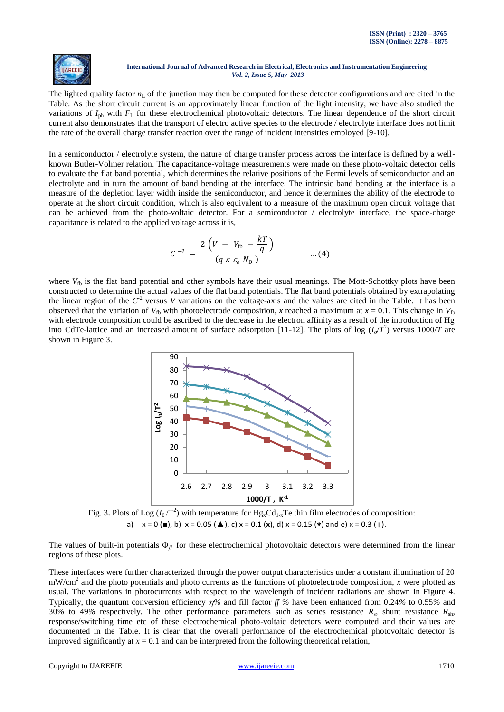

The lighted quality factor  $n<sub>L</sub>$  of the junction may then be computed for these detector configurations and are cited in the Table. As the short circuit current is an approximately linear function of the light intensity, we have also studied the variations of  $I_{ph}$  with  $F_L$  for these electrochemical photovoltaic detectors. The linear dependence of the short circuit current also demonstrates that the transport of electro active species to the electrode / electrolyte interface does not limit the rate of the overall charge transfer reaction over the range of incident intensities employed [9-10].

In a semiconductor / electrolyte system, the nature of charge transfer process across the interface is defined by a wellknown Butler-Volmer relation. The capacitance-voltage measurements were made on these photo-voltaic detector cells to evaluate the flat band potential, which determines the relative positions of the Fermi levels of semiconductor and an electrolyte and in turn the amount of band bending at the interface. The intrinsic band bending at the interface is a measure of the depletion layer width inside the semiconductor, and hence it determines the ability of the electrode to operate at the short circuit condition, which is also equivalent to a measure of the maximum open circuit voltage that can be achieved from the photo-voltaic detector. For a semiconductor / electrolyte interface, the space-charge capacitance is related to the applied voltage across it is,

$$
C^{-2} = \frac{2\left(V - V_{\text{fb}} - \frac{kT}{q}\right)}{(q \varepsilon \varepsilon_o N_{\text{D}})} \qquad ...(4)
$$

where  $V_{\text{fb}}$  is the flat band potential and other symbols have their usual meanings. The Mott-Schottky plots have been constructed to determine the actual values of the flat band potentials. The flat band potentials obtained by extrapolating the linear region of the  $C^2$  versus *V* variations on the voltage-axis and the values are cited in the Table. It has been observed that the variation of  $V_{\text{fb}}$  with photoelectrode composition, *x* reached a maximum at  $x = 0.1$ . This change in  $V_{\text{fb}}$ with electrode composition could be ascribed to the decrease in the electron affinity as a result of the introduction of Hg into CdTe-lattice and an increased amount of surface adsorption [11-12]. The plots of log  $(I_o/T^2)$  versus 1000/*T* are shown in Figure 3.



Fig. 3. Plots of Log  $(I_0/T^2)$  with temperature for  $Hg_xCd_{1-x}Te$  thin film electrodes of composition: a)  $x = 0$  ( $\blacksquare$ ), b)  $x = 0.05$  ( $\blacktriangle$ ), c)  $x = 0.1$  ( $x$ ), d)  $x = 0.15$  ( $\blacktriangle$ ) and e)  $x = 0.3$  (+).

The values of built-in potentials  $\Phi_\beta$  for these electrochemical photovoltaic detectors were determined from the linear regions of these plots.

These interfaces were further characterized through the power output characteristics under a constant illumination of 20 mW/cm<sup>2</sup> and the photo potentials and photo currents as the functions of photoelectrode composition, *x* were plotted as usual. The variations in photocurrents with respect to the wavelength of incident radiations are shown in Figure 4. Typically, the quantum conversion efficiency  $\eta\%$  and fill factor  $f\%$  have been enhanced from 0.24% to 0.55% and 30*%* to 49*%* respectively. The other performance parameters such as series resistance *R*<sup>s</sup> , shunt resistance *R*sh, response/switching time etc of these electrochemical photo-voltaic detectors were computed and their values are documented in the Table. It is clear that the overall performance of the electrochemical photovoltaic detector is improved significantly at  $x = 0.1$  and can be interpreted from the following theoretical relation,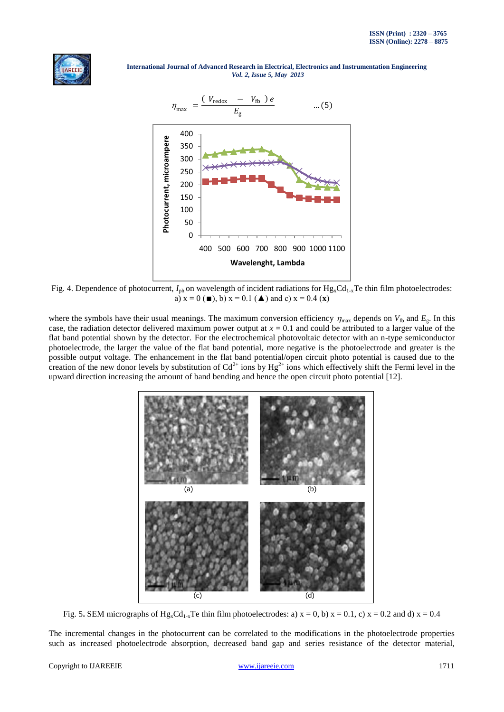



Fig. 4. Dependence of photocurrent,  $I_{ph}$  on wavelength of incident radiations for  $Hg_xCd_{1-x}Te$  thin film photoelectrodes: a)  $x = 0$  ( $\blacksquare$ ), b)  $x = 0.1$  ( $\blacktriangle$ ) and c)  $x = 0.4$  (**x**)

where the symbols have their usual meanings. The maximum conversion efficiency  $\eta_{\text{max}}$  depends on  $V_{\text{fb}}$  and  $E_{g}$ . In this case, the radiation detector delivered maximum power output at  $x = 0.1$  and could be attributed to a larger value of the flat band potential shown by the detector. For the electrochemical photovoltaic detector with an n-type semiconductor photoelectrode, the larger the value of the flat band potential, more negative is the photoelectrode and greater is the possible output voltage. The enhancement in the flat band potential/open circuit photo potential is caused due to the creation of the new donor levels by substitution of  $Cd^{2+}$  ions by  $Hg^{2+}$  ions which effectively shift the Fermi level in the upward direction increasing the amount of band bending and hence the open circuit photo potential [12].



Fig. 5. SEM micrographs of  $Hg_xCd_{1-x}Te$  thin film photoelectrodes: a)  $x = 0$ , b)  $x = 0.1$ , c)  $x = 0.2$  and d)  $x = 0.4$ 

The incremental changes in the photocurrent can be correlated to the modifications in the photoelectrode properties such as increased photoelectrode absorption, decreased band gap and series resistance of the detector material,